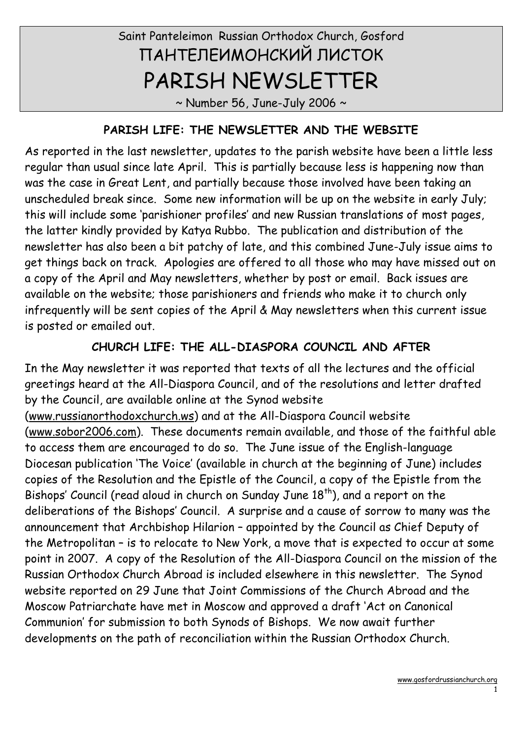# Saint Panteleimon Russian Orthodox Church, Gosford ПАНТЕЛЕИМОНСКИЙ ЛИСТОК PARISH NEWSLETTER

 $\sim$  Number 56, June-July 2006  $\sim$ 

#### PARISH LIFE: THE NEWSLETTER AND THE WEBSITE

As reported in the last newsletter, updates to the parish website have been a little less regular than usual since late April. This is partially because less is happening now than was the case in Great Lent, and partially because those involved have been taking an unscheduled break since. Some new information will be up on the website in early July; this will include some 'parishioner profiles' and new Russian translations of most pages, the latter kindly provided by Katya Rubbo. The publication and distribution of the newsletter has also been a bit patchy of late, and this combined June-July issue aims to get things back on track. Apologies are offered to all those who may have missed out on a copy of the April and May newsletters, whether by post or email. Back issues are available on the website; those parishioners and friends who make it to church only infrequently will be sent copies of the April & May newsletters when this current issue is posted or emailed out.

### CHURCH LIFE: THE ALL-DIASPORA COUNCIL AND AFTER

In the May newsletter it was reported that texts of all the lectures and the official greetings heard at the All-Diaspora Council, and of the resolutions and letter drafted by the Council, are available online at the Synod website (www.russianorthodoxchurch.ws) and at the All-Diaspora Council website (www.sobor2006.com). These documents remain available, and those of the faithful able to access them are encouraged to do so. The June issue of the English-language Diocesan publication 'The Voice' (available in church at the beginning of June) includes copies of the Resolution and the Epistle of the Council, a copy of the Epistle from the Bishops' Council (read aloud in church on Sunday June 18<sup>th</sup>), and a report on the deliberations of the Bishops' Council. A surprise and a cause of sorrow to many was the announcement that Archbishop Hilarion – appointed by the Council as Chief Deputy of the Metropolitan – is to relocate to New York, a move that is expected to occur at some point in 2007. A copy of the Resolution of the All-Diaspora Council on the mission of the Russian Orthodox Church Abroad is included elsewhere in this newsletter. The Synod website reported on 29 June that Joint Commissions of the Church Abroad and the Moscow Patriarchate have met in Moscow and approved a draft 'Act on Canonical Communion' for submission to both Synods of Bishops. We now await further developments on the path of reconciliation within the Russian Orthodox Church.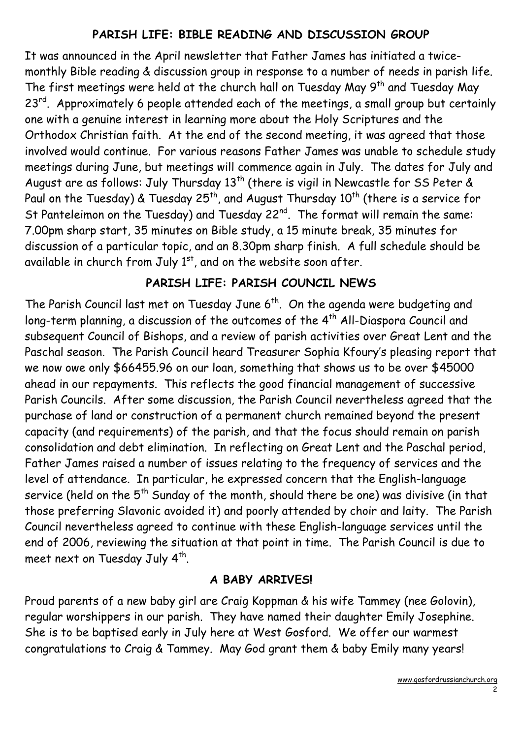## PARISH LIFE: BIBLE READING AND DISCUSSION GROUP

It was announced in the April newsletter that Father James has initiated a twicemonthly Bible reading & discussion group in response to a number of needs in parish life. The first meetings were held at the church hall on Tuesday May  $9<sup>th</sup>$  and Tuesday May 23<sup>rd</sup>. Approximately 6 people attended each of the meetings, a small group but certainly one with a genuine interest in learning more about the Holy Scriptures and the Orthodox Christian faith. At the end of the second meeting, it was agreed that those involved would continue. For various reasons Father James was unable to schedule study meetings during June, but meetings will commence again in July. The dates for July and August are as follows: July Thursday 13<sup>th</sup> (there is vigil in Newcastle for SS Peter & Paul on the Tuesday) & Tuesday 25<sup>th</sup>, and August Thursday 10<sup>th</sup> (there is a service for St Panteleimon on the Tuesday) and Tuesday 22<sup>nd</sup>. The format will remain the same: 7.00pm sharp start, 35 minutes on Bible study, a 15 minute break, 35 minutes for discussion of a particular topic, and an 8.30pm sharp finish. A full schedule should be available in church from July  $1<sup>st</sup>$ , and on the website soon after.

## PARISH LIFE: PARISH COUNCIL NEWS

The Parish Council last met on Tuesday June 6<sup>th</sup>. On the agenda were budgeting and long-term planning, a discussion of the outcomes of the 4<sup>th</sup> All-Diaspora Council and subsequent Council of Bishops, and a review of parish activities over Great Lent and the Paschal season. The Parish Council heard Treasurer Sophia Kfoury's pleasing report that we now owe only \$66455.96 on our loan, something that shows us to be over \$45000 ahead in our repayments. This reflects the good financial management of successive Parish Councils. After some discussion, the Parish Council nevertheless agreed that the purchase of land or construction of a permanent church remained beyond the present capacity (and requirements) of the parish, and that the focus should remain on parish consolidation and debt elimination. In reflecting on Great Lent and the Paschal period, Father James raised a number of issues relating to the frequency of services and the level of attendance. In particular, he expressed concern that the English-language service (held on the  $5<sup>th</sup>$  Sunday of the month, should there be one) was divisive (in that those preferring Slavonic avoided it) and poorly attended by choir and laity. The Parish Council nevertheless agreed to continue with these English-language services until the end of 2006, reviewing the situation at that point in time. The Parish Council is due to meet next on Tuesday July  $4^{\text{th}}$ .

### A BABY ARRIVES!

Proud parents of a new baby girl are Craig Koppman & his wife Tammey (nee Golovin), regular worshippers in our parish. They have named their daughter Emily Josephine. She is to be baptised early in July here at West Gosford. We offer our warmest congratulations to Craig & Tammey. May God grant them & baby Emily many years!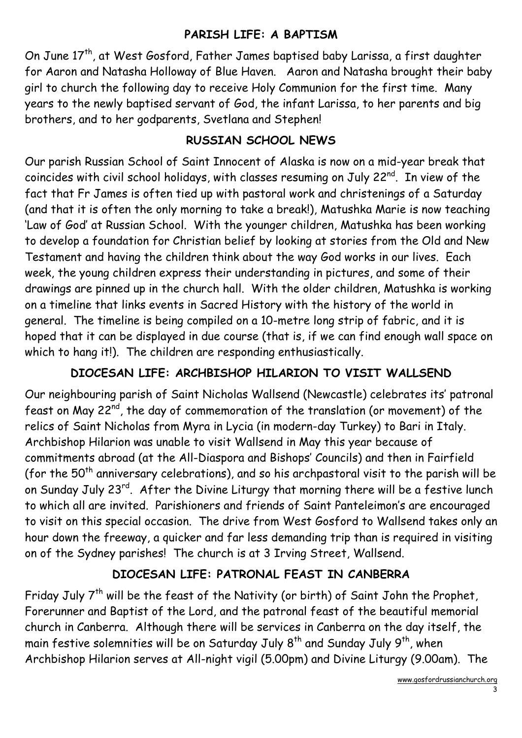## PARISH LIFE: A BAPTISM

On June 17<sup>th</sup>, at West Gosford, Father James baptised baby Larissa, a first daughter for Aaron and Natasha Holloway of Blue Haven. Aaron and Natasha brought their baby girl to church the following day to receive Holy Communion for the first time. Many years to the newly baptised servant of God, the infant Larissa, to her parents and big brothers, and to her godparents, Svetlana and Stephen!

## RUSSIAN SCHOOL NEWS

Our parish Russian School of Saint Innocent of Alaska is now on a mid-year break that coincides with civil school holidays, with classes resuming on July 22<sup>nd</sup>. In view of the fact that Fr James is often tied up with pastoral work and christenings of a Saturday (and that it is often the only morning to take a break!), Matushka Marie is now teaching 'Law of God' at Russian School. With the younger children, Matushka has been working to develop a foundation for Christian belief by looking at stories from the Old and New Testament and having the children think about the way God works in our lives. Each week, the young children express their understanding in pictures, and some of their drawings are pinned up in the church hall. With the older children, Matushka is working on a timeline that links events in Sacred History with the history of the world in general. The timeline is being compiled on a 10-metre long strip of fabric, and it is hoped that it can be displayed in due course (that is, if we can find enough wall space on which to hang it!). The children are responding enthusiastically.

# DIOCESAN LIFE: ARCHBISHOP HILARION TO VISIT WALLSEND

Our neighbouring parish of Saint Nicholas Wallsend (Newcastle) celebrates its' patronal feast on May 22nd, the day of commemoration of the translation (or movement) of the relics of Saint Nicholas from Myra in Lycia (in modern-day Turkey) to Bari in Italy. Archbishop Hilarion was unable to visit Wallsend in May this year because of commitments abroad (at the All-Diaspora and Bishops' Councils) and then in Fairfield (for the  $50<sup>th</sup>$  anniversary celebrations), and so his archpastoral visit to the parish will be on Sunday July 23<sup>rd</sup>. After the Divine Liturgy that morning there will be a festive lunch to which all are invited. Parishioners and friends of Saint Panteleimon's are encouraged to visit on this special occasion. The drive from West Gosford to Wallsend takes only an hour down the freeway, a quicker and far less demanding trip than is required in visiting on of the Sydney parishes! The church is at 3 Irving Street, Wallsend.

# DIOCESAN LIFE: PATRONAL FEAST IN CANBERRA

Friday July 7<sup>th</sup> will be the feast of the Nativity (or birth) of Saint John the Prophet, Forerunner and Baptist of the Lord, and the patronal feast of the beautiful memorial church in Canberra. Although there will be services in Canberra on the day itself, the main festive solemnities will be on Saturday July 8<sup>th</sup> and Sunday July 9<sup>th</sup>, when Archbishop Hilarion serves at All-night vigil (5.00pm) and Divine Liturgy (9.00am). The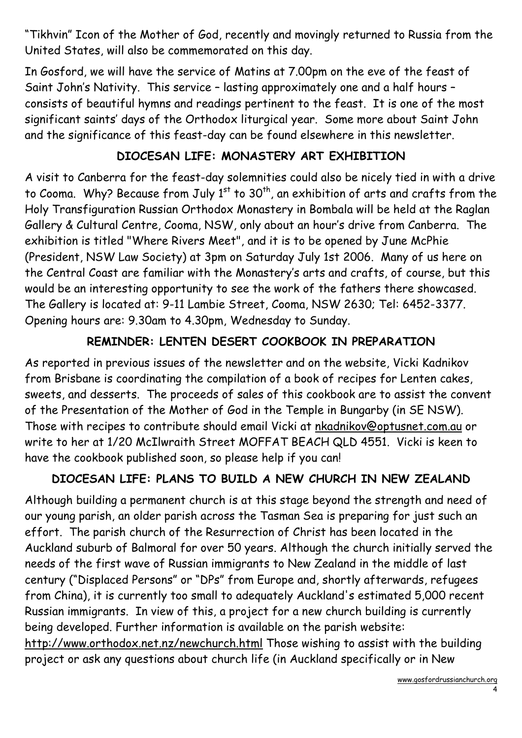"Tikhvin" Icon of the Mother of God, recently and movingly returned to Russia from the United States, will also be commemorated on this day.

In Gosford, we will have the service of Matins at 7.00pm on the eve of the feast of Saint John's Nativity. This service – lasting approximately one and a half hours – consists of beautiful hymns and readings pertinent to the feast. It is one of the most significant saints' days of the Orthodox liturgical year. Some more about Saint John and the significance of this feast-day can be found elsewhere in this newsletter.

## DIOCESAN LIFE: MONASTERY ART EXHIBITION

A visit to Canberra for the feast-day solemnities could also be nicely tied in with a drive to Cooma. Why? Because from July  $1<sup>st</sup>$  to  $30<sup>th</sup>$ , an exhibition of arts and crafts from the Holy Transfiguration Russian Orthodox Monastery in Bombala will be held at the Raglan Gallery & Cultural Centre, Cooma, NSW, only about an hour's drive from Canberra. The exhibition is titled "Where Rivers Meet", and it is to be opened by June McPhie (President, NSW Law Society) at 3pm on Saturday July 1st 2006. Many of us here on the Central Coast are familiar with the Monastery's arts and crafts, of course, but this would be an interesting opportunity to see the work of the fathers there showcased. The Gallery is located at: 9-11 Lambie Street, Cooma, NSW 2630; Tel: 6452-3377. Opening hours are: 9.30am to 4.30pm, Wednesday to Sunday.

# REMINDER: LENTEN DESERT COOKBOOK IN PREPARATION

As reported in previous issues of the newsletter and on the website, Vicki Kadnikov from Brisbane is coordinating the compilation of a book of recipes for Lenten cakes, sweets, and desserts. The proceeds of sales of this cookbook are to assist the convent of the Presentation of the Mother of God in the Temple in Bungarby (in SE NSW). Those with recipes to contribute should email Vicki at nkadnikov@optusnet.com.au or write to her at 1/20 McIlwraith Street MOFFAT BEACH QLD 4551. Vicki is keen to have the cookbook published soon, so please help if you can!

### DIOCESAN LIFE: PLANS TO BUILD A NEW CHURCH IN NEW ZEALAND

Although building a permanent church is at this stage beyond the strength and need of our young parish, an older parish across the Tasman Sea is preparing for just such an effort. The parish church of the Resurrection of Christ has been located in the Auckland suburb of Balmoral for over 50 years. Although the church initially served the needs of the first wave of Russian immigrants to New Zealand in the middle of last century ("Displaced Persons" or "DPs" from Europe and, shortly afterwards, refugees from China), it is currently too small to adequately Auckland's estimated 5,000 recent Russian immigrants. In view of this, a project for a new church building is currently being developed. Further information is available on the parish website: http://www.orthodox.net.nz/newchurch.html Those wishing to assist with the building project or ask any questions about church life (in Auckland specifically or in New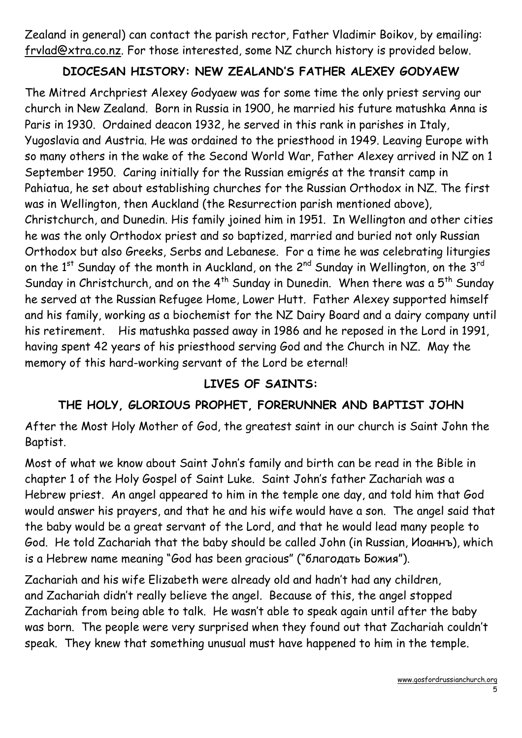Zealand in general) can contact the parish rector, Father Vladimir Boikov, by emailing: frvlad@xtra.co.nz. For those interested, some NZ church history is provided below.

#### DIOCESAN HISTORY: NEW ZEALAND'S FATHER ALEXEY GODYAEW

The Mitred Archpriest Alexey Godyaew was for some time the only priest serving our church in New Zealand. Born in Russia in 1900, he married his future matushka Anna is Paris in 1930. Ordained deacon 1932, he served in this rank in parishes in Italy, Yugoslavia and Austria. He was ordained to the priesthood in 1949. Leaving Europe with so many others in the wake of the Second World War, Father Alexey arrived in NZ on 1 September 1950. Caring initially for the Russian emigrés at the transit camp in Pahiatua, he set about establishing churches for the Russian Orthodox in NZ. The first was in Wellington, then Auckland (the Resurrection parish mentioned above), Christchurch, and Dunedin. His family joined him in 1951. In Wellington and other cities he was the only Orthodox priest and so baptized, married and buried not only Russian Orthodox but also Greeks, Serbs and Lebanese. For a time he was celebrating liturgies on the 1<sup>st</sup> Sunday of the month in Auckland, on the 2<sup>nd</sup> Sunday in Wellington, on the 3<sup>rd</sup> Sunday in Christchurch, and on the  $4^{th}$  Sunday in Dunedin. When there was a  $5^{th}$  Sunday he served at the Russian Refugee Home, Lower Hutt. Father Alexey supported himself and his family, working as a biochemist for the NZ Dairy Board and a dairy company until his retirement. His matushka passed away in 1986 and he reposed in the Lord in 1991, having spent 42 years of his priesthood serving God and the Church in NZ. May the memory of this hard-working servant of the Lord be eternal!

#### LIVES OF SAINTS:

# THE HOLY, GLORIOUS PROPHET, FORERUNNER AND BAPTIST JOHN

After the Most Holy Mother of God, the greatest saint in our church is Saint John the Baptist.

Most of what we know about Saint John's family and birth can be read in the Bible in chapter 1 of the Holy Gospel of Saint Luke. Saint John's father Zachariah was a Hebrew priest. An angel appeared to him in the temple one day, and told him that God would answer his prayers, and that he and his wife would have a son. The angel said that the baby would be a great servant of the Lord, and that he would lead many people to God. He told Zachariah that the baby should be called John (in Russian, Иоаннъ), which is a Hebrew name meaning "God has been gracious" ("благодать Божия").

Zachariah and his wife Elizabeth were already old and hadn't had any children, and Zachariah didn't really believe the angel. Because of this, the angel stopped Zachariah from being able to talk. He wasn't able to speak again until after the baby was born. The people were very surprised when they found out that Zachariah couldn't speak. They knew that something unusual must have happened to him in the temple.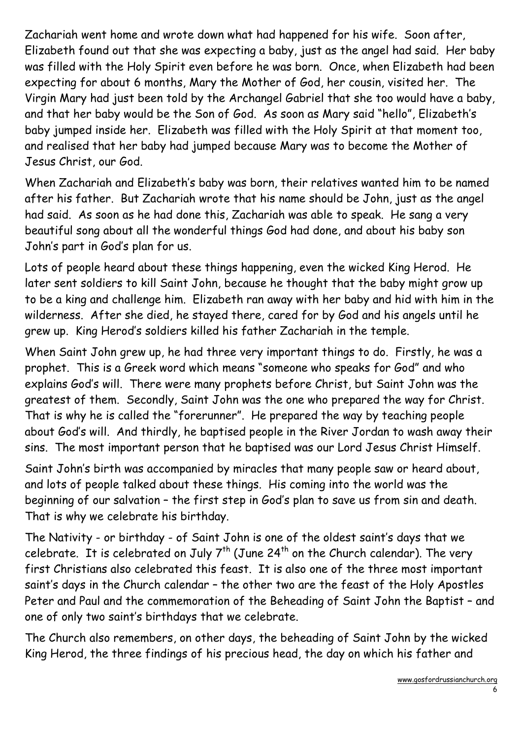Zachariah went home and wrote down what had happened for his wife. Soon after, Elizabeth found out that she was expecting a baby, just as the angel had said. Her baby was filled with the Holy Spirit even before he was born. Once, when Elizabeth had been expecting for about 6 months, Mary the Mother of God, her cousin, visited her. The Virgin Mary had just been told by the Archangel Gabriel that she too would have a baby, and that her baby would be the Son of God. As soon as Mary said "hello", Elizabeth's baby jumped inside her. Elizabeth was filled with the Holy Spirit at that moment too, and realised that her baby had jumped because Mary was to become the Mother of Jesus Christ, our God.

When Zachariah and Elizabeth's baby was born, their relatives wanted him to be named after his father. But Zachariah wrote that his name should be John, just as the angel had said. As soon as he had done this, Zachariah was able to speak. He sang a very beautiful song about all the wonderful things God had done, and about his baby son John's part in God's plan for us.

Lots of people heard about these things happening, even the wicked King Herod. He later sent soldiers to kill Saint John, because he thought that the baby might grow up to be a king and challenge him. Elizabeth ran away with her baby and hid with him in the wilderness. After she died, he stayed there, cared for by God and his angels until he grew up. King Herod's soldiers killed his father Zachariah in the temple.

When Saint John grew up, he had three very important things to do. Firstly, he was a prophet. This is a Greek word which means "someone who speaks for God" and who explains God's will. There were many prophets before Christ, but Saint John was the greatest of them. Secondly, Saint John was the one who prepared the way for Christ. That is why he is called the "forerunner". He prepared the way by teaching people about God's will. And thirdly, he baptised people in the River Jordan to wash away their sins. The most important person that he baptised was our Lord Jesus Christ Himself.

Saint John's birth was accompanied by miracles that many people saw or heard about, and lots of people talked about these things. His coming into the world was the beginning of our salvation – the first step in God's plan to save us from sin and death. That is why we celebrate his birthday.

The Nativity - or birthday - of Saint John is one of the oldest saint's days that we celebrate. It is celebrated on July  $7^{th}$  (June 24<sup>th</sup> on the Church calendar). The very first Christians also celebrated this feast. It is also one of the three most important saint's days in the Church calendar – the other two are the feast of the Holy Apostles Peter and Paul and the commemoration of the Beheading of Saint John the Baptist – and one of only two saint's birthdays that we celebrate.

The Church also remembers, on other days, the beheading of Saint John by the wicked King Herod, the three findings of his precious head, the day on which his father and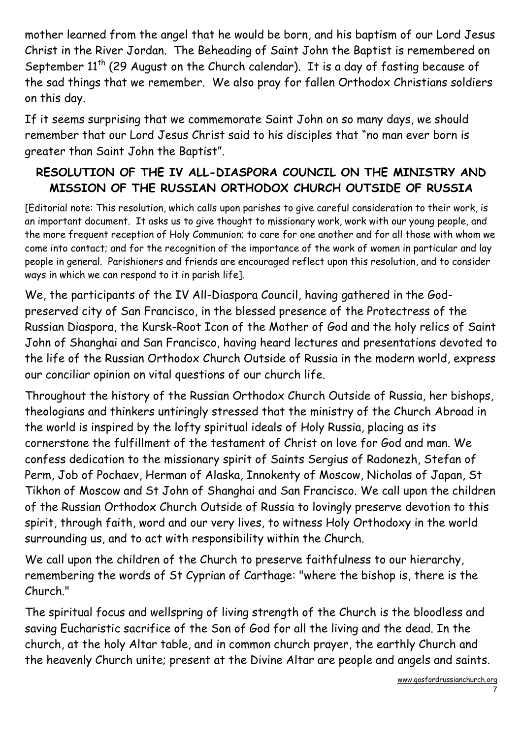mother learned from the angel that he would be born, and his baptism of our Lord Jesus Christ in the River Jordan. The Beheading of Saint John the Baptist is remembered on September  $11<sup>th</sup>$  (29 August on the Church calendar). It is a day of fasting because of the sad things that we remember. We also pray for fallen Orthodox Christians soldiers on this day.

If it seems surprising that we commemorate Saint John on so many days, we should remember that our Lord Jesus Christ said to his disciples that "no man ever born is greater than Saint John the Baptist".

## RESOLUTION OF THE IV ALL-DIASPORA COUNCIL ON THE MINISTRY AND MISSION OF THE RUSSIAN ORTHODOX CHURCH OUTSIDE OF RUSSIA

[Editorial note: This resolution, which calls upon parishes to give careful consideration to their work, is an important document. It asks us to give thought to missionary work, work with our young people, and the more frequent reception of Holy Communion; to care for one another and for all those with whom we come into contact; and for the recognition of the importance of the work of women in particular and lay people in general. Parishioners and friends are encouraged reflect upon this resolution, and to consider ways in which we can respond to it in parish life].

We, the participants of the IV All-Diaspora Council, having gathered in the Godpreserved city of San Francisco, in the blessed presence of the Protectress of the Russian Diaspora, the Kursk-Root Icon of the Mother of God and the holy relics of Saint John of Shanghai and San Francisco, having heard lectures and presentations devoted to the life of the Russian Orthodox Church Outside of Russia in the modern world, express our conciliar opinion on vital questions of our church life.

Throughout the history of the Russian Orthodox Church Outside of Russia, her bishops, theologians and thinkers untiringly stressed that the ministry of the Church Abroad in the world is inspired by the lofty spiritual ideals of Holy Russia, placing as its cornerstone the fulfillment of the testament of Christ on love for God and man. We confess dedication to the missionary spirit of Saints Sergius of Radonezh, Stefan of Perm, Job of Pochaev, Herman of Alaska, Innokenty of Moscow, Nicholas of Japan, St Tikhon of Moscow and St John of Shanghai and San Francisco. We call upon the children of the Russian Orthodox Church Outside of Russia to lovingly preserve devotion to this spirit, through faith, word and our very lives, to witness Holy Orthodoxy in the world surrounding us, and to act with responsibility within the Church.

We call upon the children of the Church to preserve faithfulness to our hierarchy, remembering the words of St Cyprian of Carthage: "where the bishop is, there is the Church."

The spiritual focus and wellspring of living strength of the Church is the bloodless and saving Eucharistic sacrifice of the Son of God for all the living and the dead. In the church, at the holy Altar table, and in common church prayer, the earthly Church and the heavenly Church unite; present at the Divine Altar are people and angels and saints.